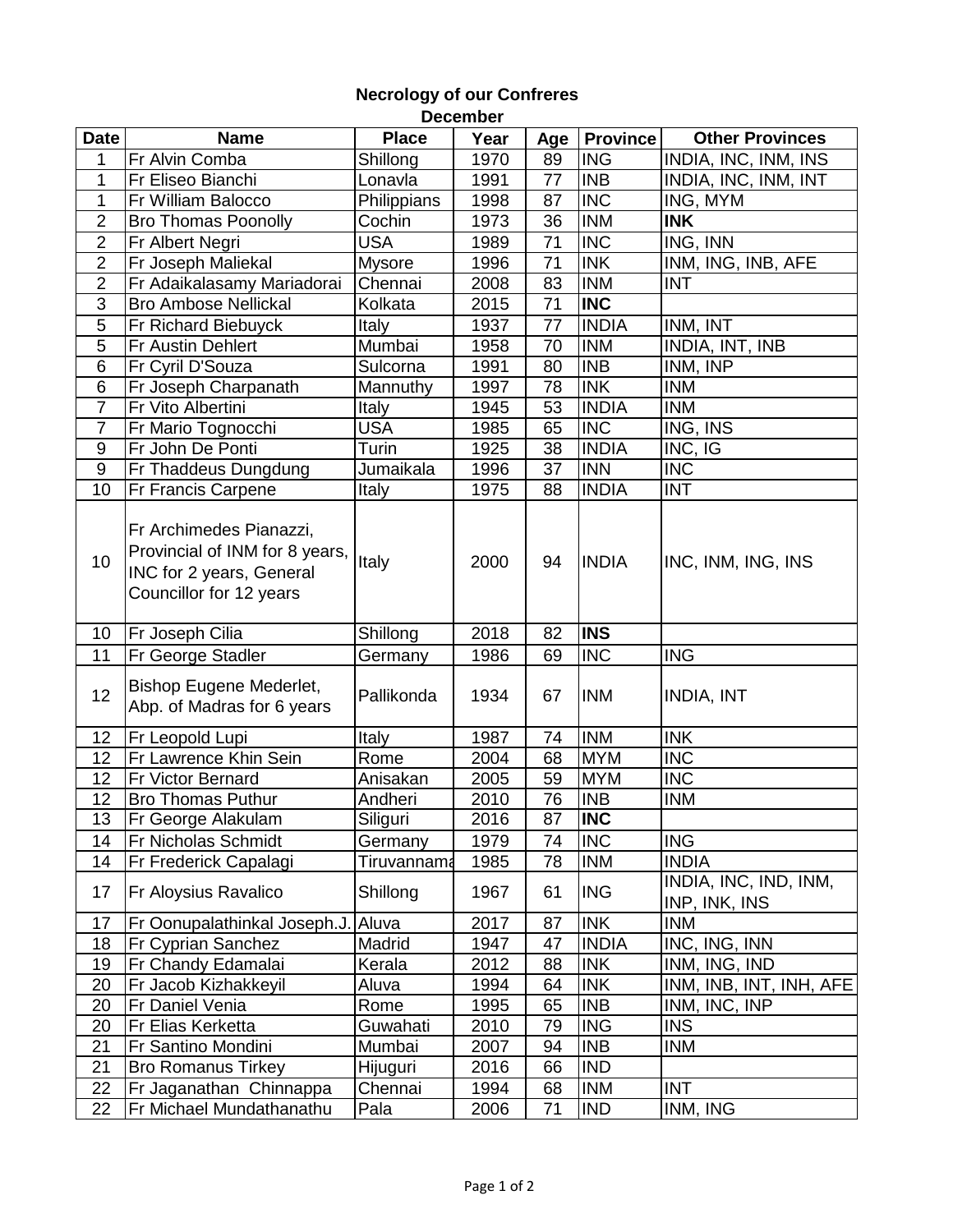|                   |                                                                                                                  |               | Decenner |     |                 |                                        |
|-------------------|------------------------------------------------------------------------------------------------------------------|---------------|----------|-----|-----------------|----------------------------------------|
| <b>Date</b>       | <b>Name</b>                                                                                                      | <b>Place</b>  | Year     | Age | <b>Province</b> | <b>Other Provinces</b>                 |
| 1                 | Fr Alvin Comba                                                                                                   | Shillong      | 1970     | 89  | <b>ING</b>      | INDIA, INC, INM, INS                   |
| 1                 | Fr Eliseo Bianchi                                                                                                | Lonavla       | 1991     | 77  | <b>INB</b>      | INDIA, INC, INM, INT                   |
| 1                 | Fr William Balocco                                                                                               | Philippians   | 1998     | 87  | <b>INC</b>      | ING, MYM                               |
| $\overline{2}$    | <b>Bro Thomas Poonolly</b>                                                                                       | Cochin        | 1973     | 36  | <b>INM</b>      | <b>INK</b>                             |
| $\overline{2}$    | Fr Albert Negri                                                                                                  | <b>USA</b>    | 1989     | 71  | <b>INC</b>      | ING, INN                               |
| $\overline{2}$    | Fr Joseph Maliekal                                                                                               | <b>Mysore</b> | 1996     | 71  | <b>INK</b>      | INM, ING, INB, AFE                     |
| $\overline{2}$    | Fr Adaikalasamy Mariadorai                                                                                       | Chennai       | 2008     | 83  | <b>INM</b>      | <b>INT</b>                             |
| 3                 | <b>Bro Ambose Nellickal</b>                                                                                      | Kolkata       | 2015     | 71  | <b>INC</b>      |                                        |
| 5                 | Fr Richard Biebuyck                                                                                              | Italy         | 1937     | 77  | <b>INDIA</b>    | INM, INT                               |
| $\overline{5}$    | Fr Austin Dehlert                                                                                                | Mumbai        | 1958     | 70  | <b>INM</b>      | INDIA, INT, INB                        |
| 6                 | Fr Cyril D'Souza                                                                                                 | Sulcorna      | 1991     | 80  | <b>INB</b>      | INM, INP                               |
| 6                 | Fr Joseph Charpanath                                                                                             | Mannuthy      | 1997     | 78  | <b>INK</b>      | <b>INM</b>                             |
| $\overline{7}$    | Fr Vito Albertini                                                                                                | Italy         | 1945     | 53  | <b>INDIA</b>    | <b>INM</b>                             |
| $\overline{7}$    | Fr Mario Tognocchi                                                                                               | <b>USA</b>    | 1985     | 65  | <b>INC</b>      | ING, INS                               |
| $\boldsymbol{9}$  | Fr John De Ponti                                                                                                 | Turin         | 1925     | 38  | <b>INDIA</b>    | INC, IG                                |
| $\boldsymbol{9}$  | Fr Thaddeus Dungdung                                                                                             | Jumaikala     | 1996     | 37  | <b>INN</b>      | <b>INC</b>                             |
| 10                | Fr Francis Carpene                                                                                               | Italy         | 1975     | 88  | <b>INDIA</b>    | <b>INT</b>                             |
| 10                | Fr Archimedes Pianazzi,<br>Provincial of INM for 8 years,<br>INC for 2 years, General<br>Councillor for 12 years | Italy         | 2000     | 94  | <b>INDIA</b>    | INC, INM, ING, INS                     |
| 10                | Fr Joseph Cilia                                                                                                  | Shillong      | 2018     | 82  | <b>INS</b>      |                                        |
| 11                | Fr George Stadler                                                                                                | Germany       | 1986     | 69  | <b>INC</b>      | <b>ING</b>                             |
| 12                | <b>Bishop Eugene Mederlet,</b><br>Abp. of Madras for 6 years                                                     | Pallikonda    | 1934     | 67  | <b>INM</b>      | <b>INDIA, INT</b>                      |
| $12 \overline{ }$ | Fr Leopold Lupi                                                                                                  | Italy         | 1987     | 74  | <b>INM</b>      | <b>INK</b>                             |
| 12 <sub>2</sub>   | Fr Lawrence Khin Sein                                                                                            | Rome          | 2004     | 68  | <b>MYM</b>      | <b>INC</b>                             |
| 12                | <b>Fr Victor Bernard</b>                                                                                         | Anisakan      | 2005     | 59  | <b>MYM</b>      | <b>INC</b>                             |
| 12 <sub>2</sub>   | <b>Bro Thomas Puthur</b>                                                                                         | Andheri       | 2010     | 76  | <b>INB</b>      | <b>INM</b>                             |
| 13                | Fr George Alakulam                                                                                               | Siliguri      | 2016     | 87  | <b>INC</b>      |                                        |
| 14                | Fr Nicholas Schmidt                                                                                              | Germany       | 1979     | 74  | <b>INC</b>      | <b>ING</b>                             |
| 14                | Fr Frederick Capalagi                                                                                            | Tiruvannama   | 1985     | 78  | <b>INM</b>      | <b>INDIA</b>                           |
| 17                | Fr Aloysius Ravalico                                                                                             | Shillong      | 1967     | 61  | <b>ING</b>      | INDIA, INC, IND, INM,<br>INP, INK, INS |
| 17                | Fr Oonupalathinkal Joseph.J.                                                                                     | Aluva         | 2017     | 87  | <b>INK</b>      | <b>INM</b>                             |
| 18                | <b>Fr Cyprian Sanchez</b>                                                                                        | Madrid        | 1947     | 47  | <b>INDIA</b>    | INC, ING, INN                          |
| 19                | Fr Chandy Edamalai                                                                                               | Kerala        | 2012     | 88  | <b>INK</b>      | INM, ING, IND                          |
| 20                | Fr Jacob Kizhakkeyil                                                                                             | Aluva         | 1994     | 64  | <b>INK</b>      | INM, INB, INT, INH, AFE                |
| 20                | Fr Daniel Venia                                                                                                  | Rome          | 1995     | 65  | <b>INB</b>      | INM, INC, INP                          |
| 20                | Fr Elias Kerketta                                                                                                | Guwahati      | 2010     | 79  | <b>ING</b>      | <b>INS</b>                             |
| 21                |                                                                                                                  | Mumbai        | 2007     | 94  | <b>INB</b>      | <b>INM</b>                             |
|                   | Fr Santino Mondini                                                                                               |               |          |     |                 |                                        |
| 21                | <b>Bro Romanus Tirkey</b>                                                                                        | Hijuguri      | 2016     | 66  | <b>IND</b>      |                                        |
| 22                | Fr Jaganathan Chinnappa                                                                                          | Chennai       | 1994     | 68  | <b>INM</b>      | <b>INT</b>                             |

## **Necrology of our Confreres December**